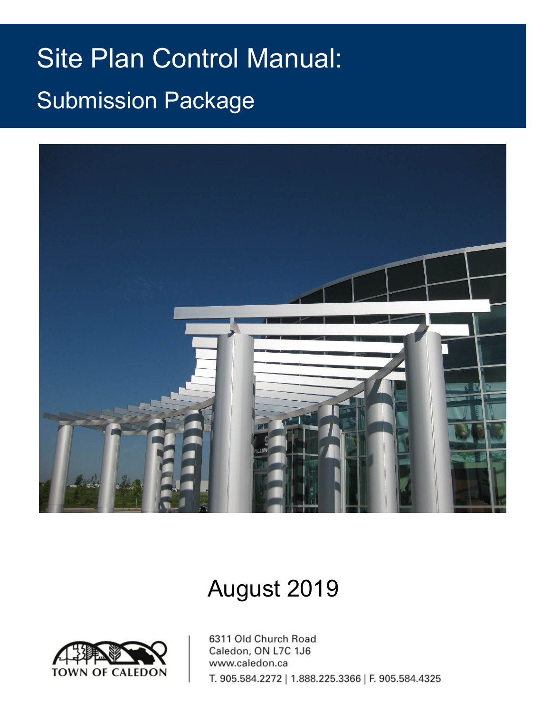# **Application for Site Plan Approval Page 1** Site Plan Control Manual: Submission Package



# August 2019

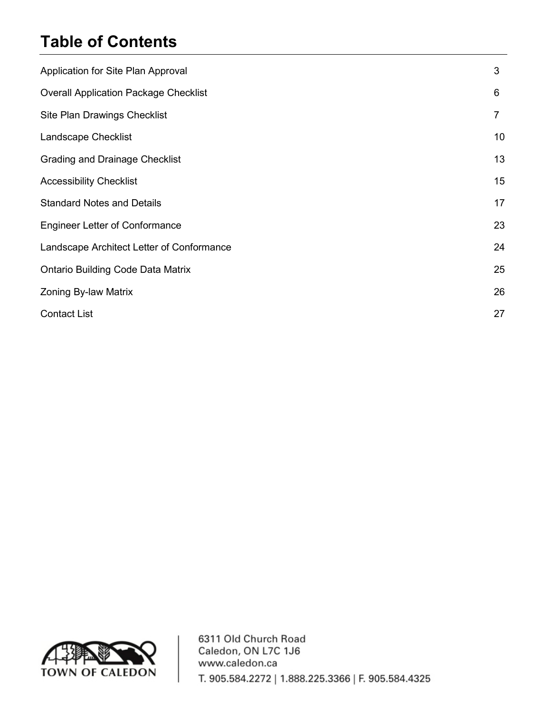### **Table of Contents**

| Application for Site Plan Approval           | 3              |
|----------------------------------------------|----------------|
| <b>Overall Application Package Checklist</b> | 6              |
| Site Plan Drawings Checklist                 | $\overline{7}$ |
| Landscape Checklist                          | 10             |
| <b>Grading and Drainage Checklist</b>        | 13             |
| <b>Accessibility Checklist</b>               | 15             |
| <b>Standard Notes and Details</b>            | 17             |
| <b>Engineer Letter of Conformance</b>        | 23             |
| Landscape Architect Letter of Conformance    | 24             |
| <b>Ontario Building Code Data Matrix</b>     | 25             |
| Zoning By-law Matrix                         | 26             |
| <b>Contact List</b>                          | 27             |

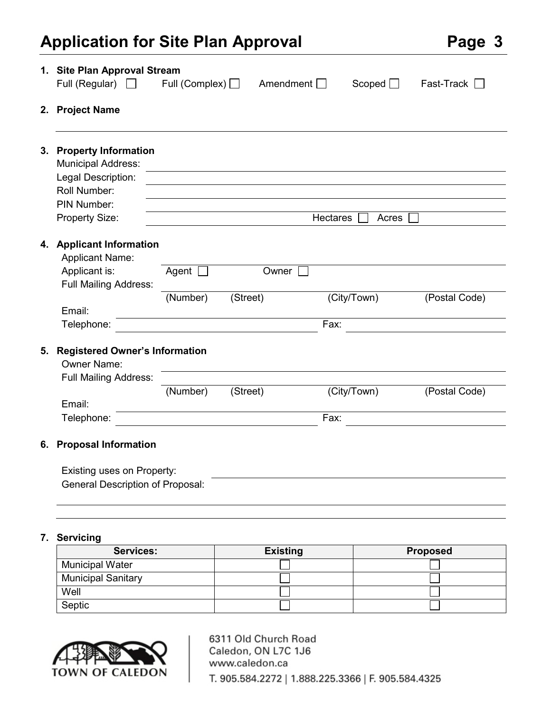### **Application for Site Plan Approval Page 3**

|    | 1. Site Plan Approval Stream<br>Full (Regular)<br>$\mathbf{1}$                                          | Full (Complex) $\Box$ | Amendment $\Box$ |             | Scoped $\Box$ | Fast-Track<br>$\mathbf{I}$ |
|----|---------------------------------------------------------------------------------------------------------|-----------------------|------------------|-------------|---------------|----------------------------|
|    | 2. Project Name                                                                                         |                       |                  |             |               |                            |
|    | 3. Property Information<br><b>Municipal Address:</b>                                                    |                       |                  |             |               |                            |
|    | Legal Description:                                                                                      |                       |                  |             |               |                            |
|    | Roll Number:                                                                                            |                       |                  |             |               |                            |
|    | PIN Number:                                                                                             |                       |                  |             |               |                            |
|    | <b>Property Size:</b>                                                                                   |                       |                  | Hectares    | Acres         |                            |
| 4. | <b>Applicant Information</b><br><b>Applicant Name:</b><br>Applicant is:<br><b>Full Mailing Address:</b> | Agent                 | Owner            |             |               |                            |
|    |                                                                                                         | (Number)              | (Street)         | (City/Town) |               | (Postal Code)              |
|    | Email:                                                                                                  |                       |                  |             |               |                            |
|    | Telephone:                                                                                              |                       |                  | Fax:        |               |                            |
| 5. | <b>Registered Owner's Information</b><br><b>Owner Name:</b>                                             |                       |                  |             |               |                            |
|    | <b>Full Mailing Address:</b>                                                                            | (Number)              | (Street)         | (City/Town) |               | (Postal Code)              |
|    | Email:                                                                                                  |                       |                  |             |               |                            |
|    | Telephone:                                                                                              |                       |                  | Fax:        |               |                            |

#### **6. Proposal Information**

| Existing uses on Property:       |  |
|----------------------------------|--|
| General Description of Proposal: |  |

#### **7. Servicing**

| <b>Services:</b>          | <b>Existing</b> | <b>Proposed</b> |
|---------------------------|-----------------|-----------------|
| <b>Municipal Water</b>    |                 |                 |
| <b>Municipal Sanitary</b> |                 |                 |
| Well                      |                 |                 |
| Septic                    |                 |                 |

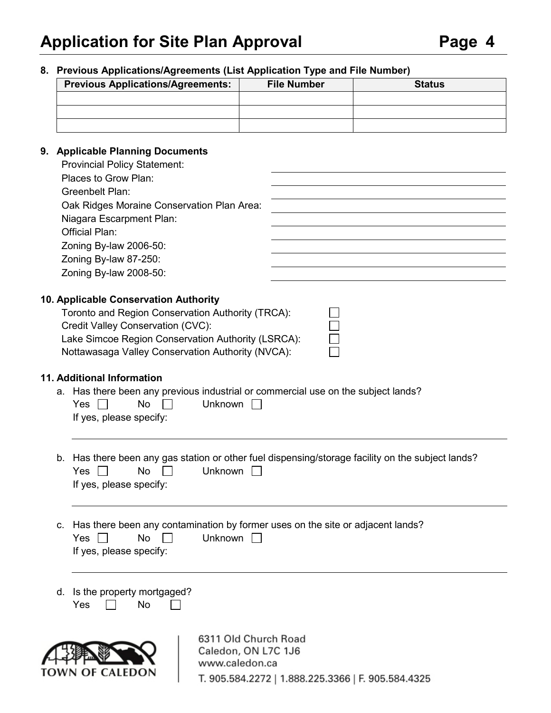#### **8. Previous Applications/Agreements (List Application Type and File Number)**

| <b>Previous Applications/Agreements:</b> | <b>File Number</b> | <b>Status</b> |
|------------------------------------------|--------------------|---------------|
|                                          |                    |               |
|                                          |                    |               |
|                                          |                    |               |

#### **9. Applicable Planning Documents**

| <b>Provincial Policy Statement:</b>        |  |
|--------------------------------------------|--|
| Places to Grow Plan:                       |  |
| Greenbelt Plan:                            |  |
| Oak Ridges Moraine Conservation Plan Area: |  |
| Niagara Escarpment Plan:                   |  |
| <b>Official Plan:</b>                      |  |
| Zoning By-law 2006-50:                     |  |
| Zoning By-law 87-250:                      |  |
| Zoning By-law 2008-50:                     |  |
|                                            |  |

#### **10. Applicable Conservation Authority**

| Toronto and Region Conservation Authority (TRCA):  |
|----------------------------------------------------|
| Credit Valley Conservation (CVC):                  |
| Lake Simcoe Region Conservation Authority (LSRCA): |
| Nottawasaga Valley Conservation Authority (NVCA):  |

#### **11. Additional Information**

a. Has there been any previous industrial or commercial use on the subject lands?<br> $V_{\text{eq}} \quad \Box \qquad \qquad I \quad I \quad I \quad \Box$  $V_{\text{ee}}$   $\Box$  No  $\Box$ 

| Yes II                  |  | $NQ \mid \mid$ | <b>UNKNOWN</b> |
|-------------------------|--|----------------|----------------|
| If yes, please specify: |  |                |                |

- b. Has there been any gas station or other fuel dispensing/storage facility on the subject lands?  $Yes \Box \qquad No \Box$  Unknown  $\Box$ If yes, please specify:
- c. Has there been any contamination by former uses on the site or adjacent lands?  $Yes \Box \qquad No \Box$  Unknown  $\Box$ If yes, please specify:
- d. Is the property mortgaged? Yes  $\Box$  No  $\Box$

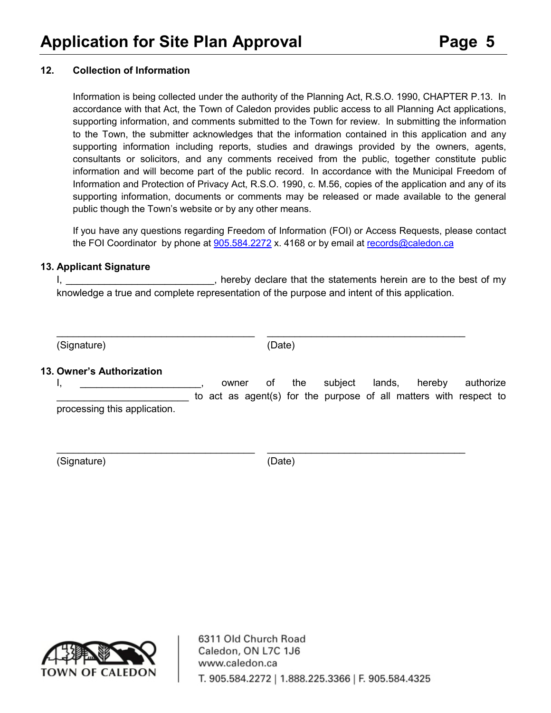#### **12. Collection of Information**

Information is being collected under the authority of the Planning Act, R.S.O. 1990, CHAPTER P.13. In accordance with that Act, the Town of Caledon provides public access to all Planning Act applications, supporting information, and comments submitted to the Town for review. In submitting the information to the Town, the submitter acknowledges that the information contained in this application and any supporting information including reports, studies and drawings provided by the owners, agents, consultants or solicitors, and any comments received from the public, together constitute public information and will become part of the public record. In accordance with the Municipal Freedom of Information and Protection of Privacy Act, R.S.O. 1990, c. M.56, copies of the application and any of its supporting information, documents or comments may be released or made available to the general public though the Town's website or by any other means.

If you have any questions regarding Freedom of Information (FOI) or Access Requests, please contact the FOI Coordinator by phone at [905.584.2272](tel:905.584.2272) x. 4168 or by email at [records@caledon.ca](mailto:records@caledon.ca)

#### **13. Applicant Signature**

I, \_\_\_\_\_\_\_\_\_\_\_\_\_\_\_\_\_\_\_\_\_\_\_\_\_\_\_\_, hereby declare that the statements herein are to the best of my knowledge a true and complete representation of the purpose and intent of this application.

(Signature) (Date)

 $\_$  , and the set of the set of the set of the set of the set of the set of the set of the set of the set of the set of the set of the set of the set of the set of the set of the set of the set of the set of the set of th

#### **13. Owner's Authorization**

I, \_\_\_\_\_\_\_\_\_\_\_\_\_\_\_\_\_\_\_\_\_\_, owner of the subject lands, hereby authorize to act as agent(s) for the purpose of all matters with respect to processing this application.

(Signature) (Date)

\_\_\_\_\_\_\_\_\_\_\_\_\_\_\_\_\_\_\_\_\_\_\_\_\_\_\_\_\_\_\_\_\_\_\_\_ \_\_\_\_\_\_\_\_\_\_\_\_\_\_\_\_\_\_\_\_\_\_\_\_\_\_\_\_\_\_\_\_\_\_\_\_

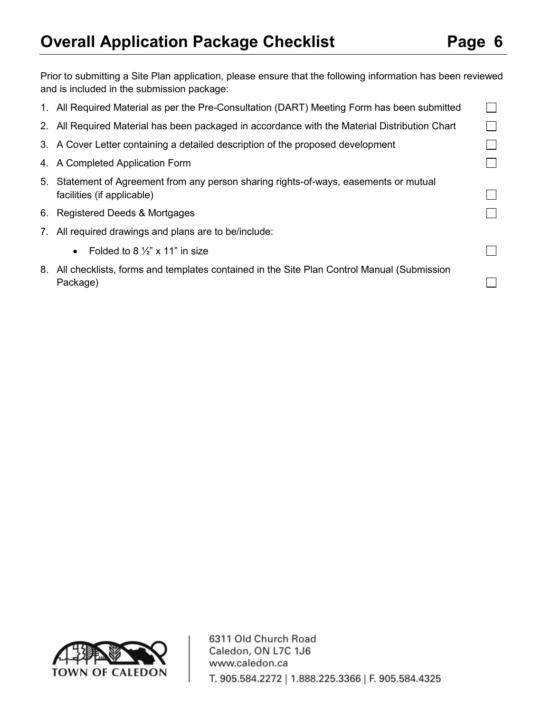## **Overall Application Package Checklist Page 6**

 $\Box$ 

 $\Box$ 

 $\Box$ 

 $\Box$ 

| Prior to submitting a Site Plan application, please ensure that the following information has been reviewed<br>and is included in the submission package: |  |
|-----------------------------------------------------------------------------------------------------------------------------------------------------------|--|
| 1. All Required Material as per the Pre-Consultation (DART) Meeting Form has been submitted                                                               |  |
| 2. All Required Material has been packaged in accordance with the Material Distribution Chart                                                             |  |
| 3. A Cover Letter containing a detailed description of the proposed development                                                                           |  |
| 4. A Completed Application Form                                                                                                                           |  |

- 5. Statement of Agreement from any person sharing rights-of-ways, easements or mutual facilities (if applicable)
- 6. Registered Deeds & Mortgages
- 7. All required drawings and plans are to be/include:
	- Folded to 8  $\frac{1}{2}$ " x 11" in size
- 8. All checklists, forms and templates contained in the Site Plan Control Manual (Submission Package)

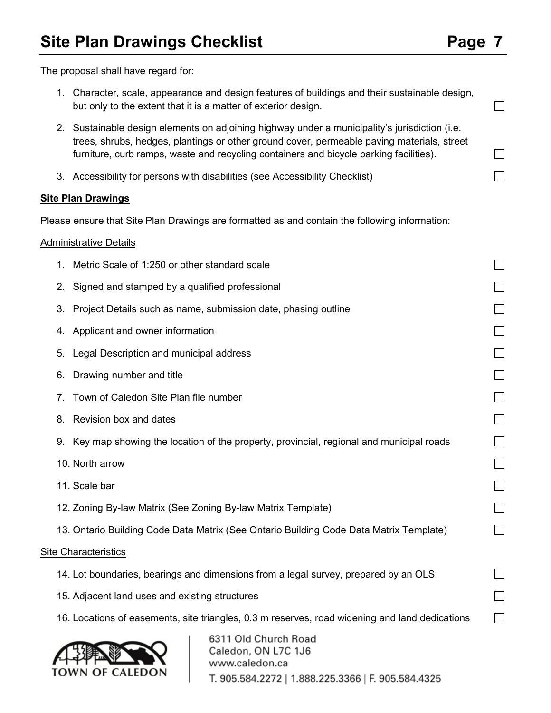$\Box$ 

П

 $\Box$ 

The proposal shall have regard for:

- 1. Character, scale, appearance and design features of buildings and their sustainable design, but only to the extent that it is a matter of exterior design.
- 2. Sustainable design elements on adjoining highway under a municipality's jurisdiction (i.e. trees, shrubs, hedges, plantings or other ground cover, permeable paving materials, street furniture, curb ramps, waste and recycling containers and bicycle parking facilities).
- 3. Accessibility for persons with disabilities (see Accessibility Checklist)

#### **Site Plan Drawings**

Please ensure that Site Plan Drawings are formatted as and contain the following information:

#### Administrative Details

| 1. Metric Scale of 1:250 or other standard scale             |                                                                                                |  |
|--------------------------------------------------------------|------------------------------------------------------------------------------------------------|--|
| Signed and stamped by a qualified professional<br>2.         |                                                                                                |  |
| 3.                                                           | Project Details such as name, submission date, phasing outline                                 |  |
| 4. Applicant and owner information                           |                                                                                                |  |
| 5. Legal Description and municipal address                   |                                                                                                |  |
| 6. Drawing number and title                                  |                                                                                                |  |
| Town of Caledon Site Plan file number<br>7.                  |                                                                                                |  |
| Revision box and dates<br>8.                                 |                                                                                                |  |
|                                                              | 9. Key map showing the location of the property, provincial, regional and municipal roads      |  |
| 10. North arrow                                              |                                                                                                |  |
| 11. Scale bar                                                |                                                                                                |  |
| 12. Zoning By-law Matrix (See Zoning By-law Matrix Template) |                                                                                                |  |
|                                                              | 13. Ontario Building Code Data Matrix (See Ontario Building Code Data Matrix Template)         |  |
| <b>Site Characteristics</b>                                  |                                                                                                |  |
|                                                              | 14. Lot boundaries, bearings and dimensions from a legal survey, prepared by an OLS            |  |
| 15. Adjacent land uses and existing structures               |                                                                                                |  |
|                                                              | 16. Locations of easements, site triangles, 0.3 m reserves, road widening and land dedications |  |
|                                                              | 6311 Old Church Road<br>Caledon, ON L7C 1J6                                                    |  |



www.caledon.ca T. 905.584.2272 | 1.888.225.3366 | F. 905.584.4325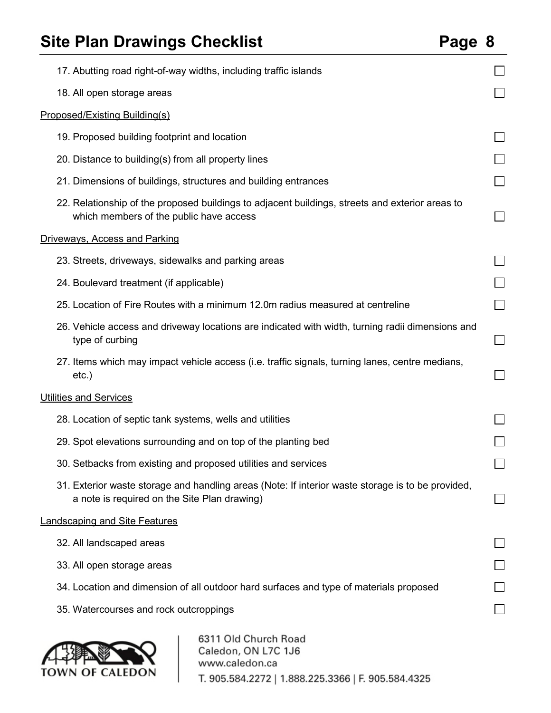## **Site Plan Drawings Checklist**

| D<br>'age | 8 |
|-----------|---|
|-----------|---|

| 17. Abutting road right-of-way widths, including traffic islands                                                                                  |        |
|---------------------------------------------------------------------------------------------------------------------------------------------------|--------|
| 18. All open storage areas                                                                                                                        |        |
| <b>Proposed/Existing Building(s)</b>                                                                                                              |        |
| 19. Proposed building footprint and location                                                                                                      |        |
| 20. Distance to building(s) from all property lines                                                                                               |        |
| 21. Dimensions of buildings, structures and building entrances                                                                                    |        |
| 22. Relationship of the proposed buildings to adjacent buildings, streets and exterior areas to<br>which members of the public have access        |        |
| <b>Driveways, Access and Parking</b>                                                                                                              |        |
| 23. Streets, driveways, sidewalks and parking areas                                                                                               |        |
| 24. Boulevard treatment (if applicable)                                                                                                           |        |
| 25. Location of Fire Routes with a minimum 12.0m radius measured at centreline                                                                    | $\sim$ |
| 26. Vehicle access and driveway locations are indicated with width, turning radii dimensions and<br>type of curbing                               | $\sim$ |
| 27. Items which may impact vehicle access (i.e. traffic signals, turning lanes, centre medians,<br>$etc.$ )                                       |        |
| <b>Utilities and Services</b>                                                                                                                     |        |
| 28. Location of septic tank systems, wells and utilities                                                                                          |        |
| 29. Spot elevations surrounding and on top of the planting bed                                                                                    |        |
| 30. Setbacks from existing and proposed utilities and services                                                                                    |        |
| 31. Exterior waste storage and handling areas (Note: If interior waste storage is to be provided,<br>a note is required on the Site Plan drawing) |        |
| <b>Landscaping and Site Features</b>                                                                                                              |        |
| 32. All landscaped areas                                                                                                                          |        |
| 33. All open storage areas                                                                                                                        |        |
| 34. Location and dimension of all outdoor hard surfaces and type of materials proposed                                                            |        |
| 35. Watercourses and rock outcroppings                                                                                                            |        |
| 6311 Old Church Road<br>Caledon, ON L7C 1J6<br>www.caledon.ca<br>TOWN OF CALEDON<br>T. 905.584.2272   1.888.225.3366   F. 905.584.4325            |        |

T. 905.584.2272 | 1.888.225.3366 | F. 905.584.4325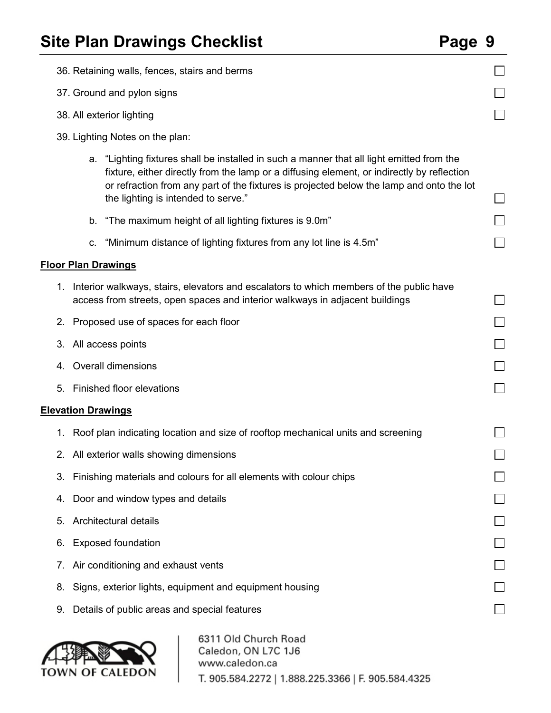|                                 | 36. Retaining walls, fences, stairs and berms                                                                                                                                                                                                                                                                              |  |  |  |  |  |  |
|---------------------------------|----------------------------------------------------------------------------------------------------------------------------------------------------------------------------------------------------------------------------------------------------------------------------------------------------------------------------|--|--|--|--|--|--|
|                                 | 37. Ground and pylon signs                                                                                                                                                                                                                                                                                                 |  |  |  |  |  |  |
|                                 | 38. All exterior lighting                                                                                                                                                                                                                                                                                                  |  |  |  |  |  |  |
| 39. Lighting Notes on the plan: |                                                                                                                                                                                                                                                                                                                            |  |  |  |  |  |  |
|                                 | a. "Lighting fixtures shall be installed in such a manner that all light emitted from the<br>fixture, either directly from the lamp or a diffusing element, or indirectly by reflection<br>or refraction from any part of the fixtures is projected below the lamp and onto the lot<br>the lighting is intended to serve." |  |  |  |  |  |  |
|                                 | "The maximum height of all lighting fixtures is 9.0m"<br>b.                                                                                                                                                                                                                                                                |  |  |  |  |  |  |
|                                 | "Minimum distance of lighting fixtures from any lot line is 4.5m"<br>C.                                                                                                                                                                                                                                                    |  |  |  |  |  |  |
|                                 | <b>Floor Plan Drawings</b>                                                                                                                                                                                                                                                                                                 |  |  |  |  |  |  |
|                                 | 1. Interior walkways, stairs, elevators and escalators to which members of the public have<br>access from streets, open spaces and interior walkways in adjacent buildings                                                                                                                                                 |  |  |  |  |  |  |
|                                 | 2. Proposed use of spaces for each floor                                                                                                                                                                                                                                                                                   |  |  |  |  |  |  |
|                                 | 3. All access points                                                                                                                                                                                                                                                                                                       |  |  |  |  |  |  |
|                                 | 4. Overall dimensions                                                                                                                                                                                                                                                                                                      |  |  |  |  |  |  |
| 5.                              | <b>Finished floor elevations</b>                                                                                                                                                                                                                                                                                           |  |  |  |  |  |  |
|                                 | <b>Elevation Drawings</b>                                                                                                                                                                                                                                                                                                  |  |  |  |  |  |  |
|                                 | 1. Roof plan indicating location and size of rooftop mechanical units and screening                                                                                                                                                                                                                                        |  |  |  |  |  |  |
|                                 | 2. All exterior walls showing dimensions                                                                                                                                                                                                                                                                                   |  |  |  |  |  |  |
| 3.                              | Finishing materials and colours for all elements with colour chips                                                                                                                                                                                                                                                         |  |  |  |  |  |  |
| 4.                              | Door and window types and details                                                                                                                                                                                                                                                                                          |  |  |  |  |  |  |
| 5.                              | Architectural details                                                                                                                                                                                                                                                                                                      |  |  |  |  |  |  |
| 6.                              | <b>Exposed foundation</b>                                                                                                                                                                                                                                                                                                  |  |  |  |  |  |  |
| 7.                              | Air conditioning and exhaust vents                                                                                                                                                                                                                                                                                         |  |  |  |  |  |  |
| 8.                              | Signs, exterior lights, equipment and equipment housing                                                                                                                                                                                                                                                                    |  |  |  |  |  |  |
| 9.                              | Details of public areas and special features                                                                                                                                                                                                                                                                               |  |  |  |  |  |  |
|                                 | 6311 Old Church Road                                                                                                                                                                                                                                                                                                       |  |  |  |  |  |  |

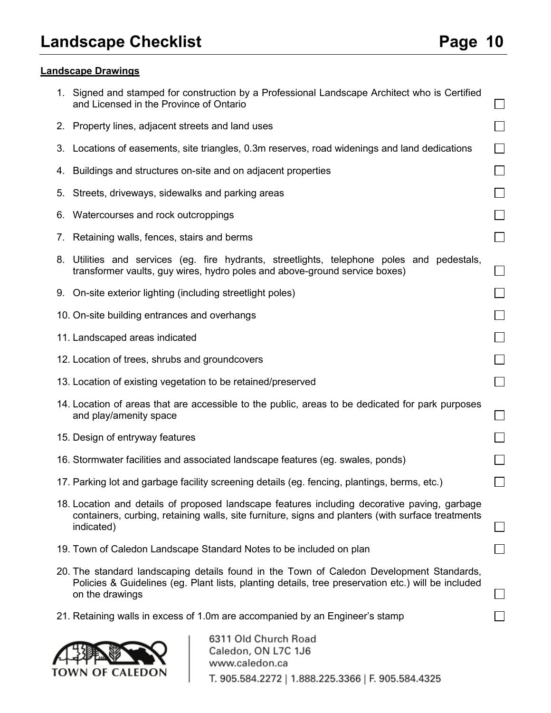**TOWN OF CALEDON** 

### **Landscape Drawings**

| 1. Signed and stamped for construction by a Professional Landscape Architect who is Certified<br>and Licensed in the Province of Ontario                                                                          |                             |
|-------------------------------------------------------------------------------------------------------------------------------------------------------------------------------------------------------------------|-----------------------------|
| 2. Property lines, adjacent streets and land uses                                                                                                                                                                 | $\overline{\phantom{0}}$    |
| 3. Locations of easements, site triangles, 0.3m reserves, road widenings and land dedications                                                                                                                     |                             |
| 4. Buildings and structures on-site and on adjacent properties                                                                                                                                                    | $\sim$                      |
| 5. Streets, driveways, sidewalks and parking areas                                                                                                                                                                |                             |
| 6. Watercourses and rock outcroppings                                                                                                                                                                             |                             |
| 7. Retaining walls, fences, stairs and berms                                                                                                                                                                      |                             |
| 8. Utilities and services (eg. fire hydrants, streetlights, telephone poles and pedestals,<br>transformer vaults, guy wires, hydro poles and above-ground service boxes)                                          |                             |
| 9. On-site exterior lighting (including streetlight poles)                                                                                                                                                        |                             |
| 10. On-site building entrances and overhangs                                                                                                                                                                      |                             |
| 11. Landscaped areas indicated                                                                                                                                                                                    |                             |
| 12. Location of trees, shrubs and groundcovers                                                                                                                                                                    |                             |
| 13. Location of existing vegetation to be retained/preserved                                                                                                                                                      | $\Box$                      |
| 14. Location of areas that are accessible to the public, areas to be dedicated for park purposes<br>and play/amenity space                                                                                        | $\mathcal{L}_{\mathcal{A}}$ |
| 15. Design of entryway features                                                                                                                                                                                   |                             |
| 16. Stormwater facilities and associated landscape features (eg. swales, ponds)                                                                                                                                   | $\sim$                      |
| 17. Parking lot and garbage facility screening details (eg. fencing, plantings, berms, etc.)                                                                                                                      |                             |
| 18. Location and details of proposed landscape features including decorative paving, garbage<br>containers, curbing, retaining walls, site furniture, signs and planters (with surface treatments<br>indicated)   |                             |
| 19. Town of Caledon Landscape Standard Notes to be included on plan                                                                                                                                               |                             |
| 20. The standard landscaping details found in the Town of Caledon Development Standards,<br>Policies & Guidelines (eg. Plant lists, planting details, tree preservation etc.) will be included<br>on the drawings |                             |
| 21. Retaining walls in excess of 1.0m are accompanied by an Engineer's stamp                                                                                                                                      |                             |
| 6311 Old Church Road<br>Caledon, ON L7C 1J6<br>www.caledon.ca                                                                                                                                                     |                             |

T. 905.584.2272 | 1.888.225.3366 | F. 905.584.4325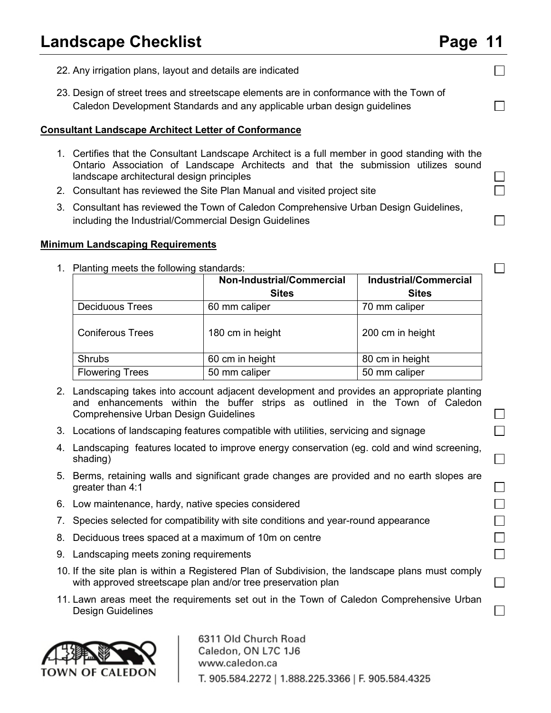$\Box$ 

 $\vert \ \ \vert$  $\Box$ 

 $\Box$ 

 $\Box$ 

 $\mathsf{L}$  $\Box$ 

 $\Box$ 

П  $\Box$  $\Box$  $\Box$ П

 $\Box$ 

П

- 22. Any irrigation plans, layout and details are indicated
- 23. Design of street trees and streetscape elements are in conformance with the Town of Caledon Development Standards and any applicable urban design guidelines

#### **Consultant Landscape Architect Letter of Conformance**

- 1. Certifies that the Consultant Landscape Architect is a full member in good standing with the Ontario Association of Landscape Architects and that the submission utilizes sound landscape architectural design principles
- 2. Consultant has reviewed the Site Plan Manual and visited project site
- 3. Consultant has reviewed the Town of Caledon Comprehensive Urban Design Guidelines, including the Industrial/Commercial Design Guidelines

#### **Minimum Landscaping Requirements**

|                         | <b>Non-Industrial/Commercial</b><br><b>Sites</b> | <b>Industrial/Commercial</b><br><b>Sites</b> |
|-------------------------|--------------------------------------------------|----------------------------------------------|
| <b>Deciduous Trees</b>  | 60 mm caliper                                    | 70 mm caliper                                |
| <b>Coniferous Trees</b> | 180 cm in height                                 | 200 cm in height                             |
| <b>Shrubs</b>           | 60 cm in height                                  | 80 cm in height                              |
| <b>Flowering Trees</b>  | 50 mm caliper                                    | 50 mm caliper                                |

1. Planting meets the following standards:

- 2. Landscaping takes into account adjacent development and provides an appropriate planting and enhancements within the buffer strips as outlined in the Town of Caledon Comprehensive Urban Design Guidelines
- 3. Locations of landscaping features compatible with utilities, servicing and signage
- 4. Landscaping features located to improve energy conservation (eg. cold and wind screening, shading)
- 5. Berms, retaining walls and significant grade changes are provided and no earth slopes are greater than 4:1
- 6. Low maintenance, hardy, native species considered
- 7. Species selected for compatibility with site conditions and year-round appearance
- 8. Deciduous trees spaced at a maximum of 10m on centre
- 9. Landscaping meets zoning requirements
- 10. If the site plan is within a Registered Plan of Subdivision, the landscape plans must comply with approved streetscape plan and/or tree preservation plan
- 11. Lawn areas meet the requirements set out in the Town of Caledon Comprehensive Urban Design Guidelines

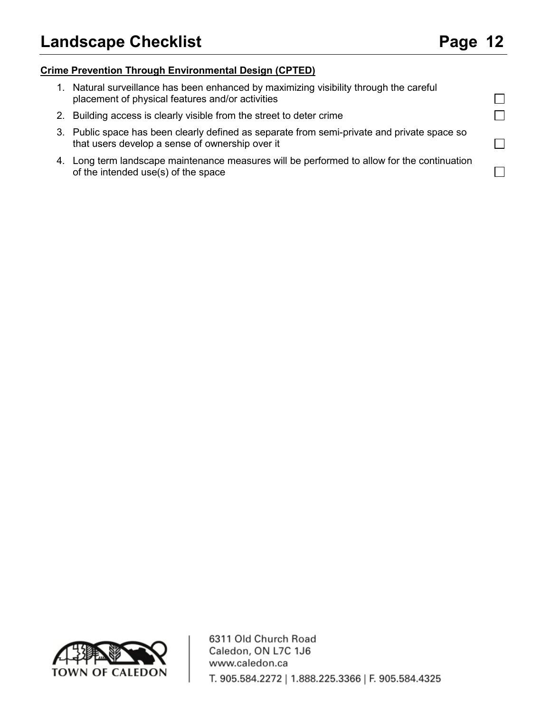$\Box$  $\Box$ 

 $\Box$ 

 $\Box$ 

#### **Crime Prevention Through Environmental Design (CPTED)**

- 1. Natural surveillance has been enhanced by maximizing visibility through the careful placement of physical features and/or activities
- 2. Building access is clearly visible from the street to deter crime
- 3. Public space has been clearly defined as separate from semi-private and private space so that users develop a sense of ownership over it
- 4. Long term landscape maintenance measures will be performed to allow for the continuation of the intended use(s) of the space

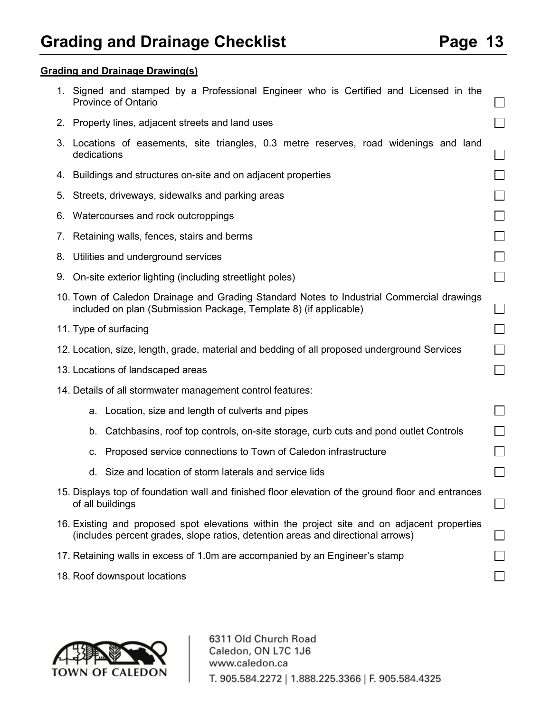#### **Grading and Drainage Drawing(s)**

|    | 1. Signed and stamped by a Professional Engineer who is Certified and Licensed in the<br><b>Province of Ontario</b>                                                             |                             |  |  |  |  |
|----|---------------------------------------------------------------------------------------------------------------------------------------------------------------------------------|-----------------------------|--|--|--|--|
|    | 2. Property lines, adjacent streets and land uses                                                                                                                               |                             |  |  |  |  |
|    | 3. Locations of easements, site triangles, 0.3 metre reserves, road widenings and land<br>dedications                                                                           |                             |  |  |  |  |
|    | 4. Buildings and structures on-site and on adjacent properties                                                                                                                  |                             |  |  |  |  |
|    | 5. Streets, driveways, sidewalks and parking areas                                                                                                                              |                             |  |  |  |  |
|    | 6. Watercourses and rock outcroppings                                                                                                                                           |                             |  |  |  |  |
|    | 7. Retaining walls, fences, stairs and berms                                                                                                                                    |                             |  |  |  |  |
| 8. | Utilities and underground services                                                                                                                                              |                             |  |  |  |  |
|    | 9. On-site exterior lighting (including streetlight poles)                                                                                                                      | $\mathcal{L}_{\mathcal{A}}$ |  |  |  |  |
|    | 10. Town of Caledon Drainage and Grading Standard Notes to Industrial Commercial drawings<br>included on plan (Submission Package, Template 8) (if applicable)                  | $\overline{\phantom{a}}$    |  |  |  |  |
|    | 11. Type of surfacing                                                                                                                                                           |                             |  |  |  |  |
|    | 12. Location, size, length, grade, material and bedding of all proposed underground Services                                                                                    |                             |  |  |  |  |
|    | 13. Locations of landscaped areas                                                                                                                                               |                             |  |  |  |  |
|    | 14. Details of all stormwater management control features:                                                                                                                      |                             |  |  |  |  |
|    | a. Location, size and length of culverts and pipes                                                                                                                              |                             |  |  |  |  |
|    | Catchbasins, roof top controls, on-site storage, curb cuts and pond outlet Controls<br>b.                                                                                       |                             |  |  |  |  |
|    | Proposed service connections to Town of Caledon infrastructure<br>c.                                                                                                            |                             |  |  |  |  |
|    | Size and location of storm laterals and service lids<br>d.                                                                                                                      |                             |  |  |  |  |
|    | 15. Displays top of foundation wall and finished floor elevation of the ground floor and entrances<br>of all buildings                                                          |                             |  |  |  |  |
|    | 16. Existing and proposed spot elevations within the project site and on adjacent properties<br>(includes percent grades, slope ratios, detention areas and directional arrows) |                             |  |  |  |  |
|    | 17. Retaining walls in excess of 1.0m are accompanied by an Engineer's stamp                                                                                                    |                             |  |  |  |  |
|    | 18. Roof downspout locations                                                                                                                                                    |                             |  |  |  |  |

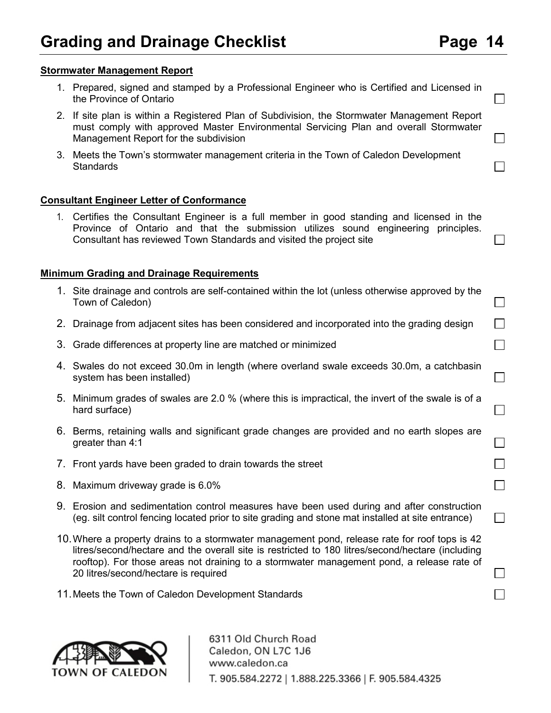#### **Stormwater Management Report**

- 1. Prepared, signed and stamped by a Professional Engineer who is Certified and Licensed in the Province of Ontario
- 2. If site plan is within a Registered Plan of Subdivision, the Stormwater Management Report must comply with approved Master Environmental Servicing Plan and overall Stormwater Management Report for the subdivision
- 3. Meets the Town's stormwater management criteria in the Town of Caledon Development **Standards**

#### **Consultant Engineer Letter of Conformance**

1. Certifies the Consultant Engineer is a full member in good standing and licensed in the Province of Ontario and that the submission utilizes sound engineering principles. Consultant has reviewed Town Standards and visited the project site

#### **Minimum Grading and Drainage Requirements**

- 1. Site drainage and controls are self-contained within the lot (unless otherwise approved by the Town of Caledon)
- 2. Drainage from adjacent sites has been considered and incorporated into the grading design
- 3. Grade differences at property line are matched or minimized
- 4. Swales do not exceed 30.0m in length (where overland swale exceeds 30.0m, a catchbasin system has been installed)
- 5. Minimum grades of swales are 2.0 % (where this is impractical, the invert of the swale is of a hard surface)
- 6. Berms, retaining walls and significant grade changes are provided and no earth slopes are greater than 4:1
- 7. Front yards have been graded to drain towards the street
- 8. Maximum driveway grade is 6.0%
- 9. Erosion and sedimentation control measures have been used during and after construction (eg. silt control fencing located prior to site grading and stone mat installed at site entrance)
- 10.Where a property drains to a stormwater management pond, release rate for roof tops is 42 litres/second/hectare and the overall site is restricted to 180 litres/second/hectare (including rooftop). For those areas not draining to a stormwater management pond, a release rate of 20 litres/second/hectare is required
- 11.Meets the Town of Caledon Development Standards



 $\Box$ 

 $\Box$ 

 $\Box$ 

 $\Box$ 

 $\Box$ 

 $\Box$ 

 $\Box$ 

 $\Box$ 

П

 $\Box$ 

 $\Box$ 

 $\Box$ 

 $\Box$ 

 $\Box$ 

 $\Box$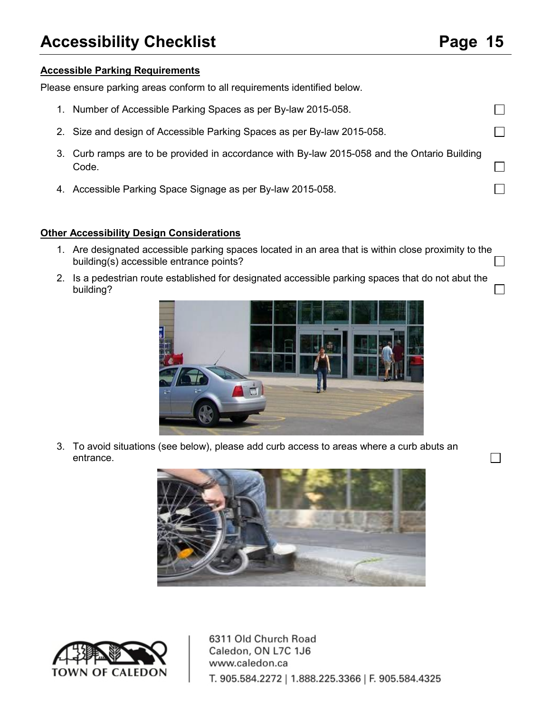П

 $\Box$ 

 $\Box$ 

П

 $\Box$ 

П

#### **Accessible Parking Requirements**

Please ensure parking areas conform to all requirements identified below.

- 1. Number of Accessible Parking Spaces as per By-law 2015-058.
- 2. Size and design of Accessible Parking Spaces as per By-law 2015-058.
- 3. Curb ramps are to be provided in accordance with By-law 2015-058 and the Ontario Building Code.
- 4. Accessible Parking Space Signage as per By-law 2015-058.

#### **Other Accessibility Design Considerations**

- 1. Are designated accessible parking spaces located in an area that is within close proximity to the building(s) accessible entrance points?  $\Box$
- 2. Is a pedestrian route established for designated accessible parking spaces that do not abut the building?



3. To avoid situations (see below), please add curb access to areas where a curb abuts an entrance.



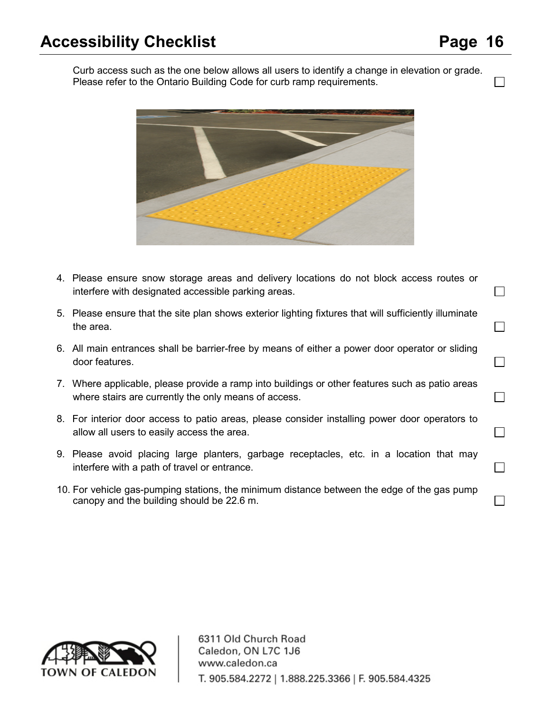$\Box$ 

 $\Box$ 

 $\Box$ 

П

 $\Box$ 

 $\Box$ 

П

 $\Box$ 

Curb access such as the one below allows all users to identify a change in elevation or grade. Please refer to the Ontario Building Code for curb ramp requirements.



- 4. Please ensure snow storage areas and delivery locations do not block access routes or interfere with designated accessible parking areas.
- 5. Please ensure that the site plan shows exterior lighting fixtures that will sufficiently illuminate the area.
- 6. All main entrances shall be barrier-free by means of either a power door operator or sliding door features.
- 7. Where applicable, please provide a ramp into buildings or other features such as patio areas where stairs are currently the only means of access.
- 8. For interior door access to patio areas, please consider installing power door operators to allow all users to easily access the area.
- 9. Please avoid placing large planters, garbage receptacles, etc. in a location that may interfere with a path of travel or entrance.
- 10. For vehicle gas-pumping stations, the minimum distance between the edge of the gas pump canopy and the building should be 22.6 m.

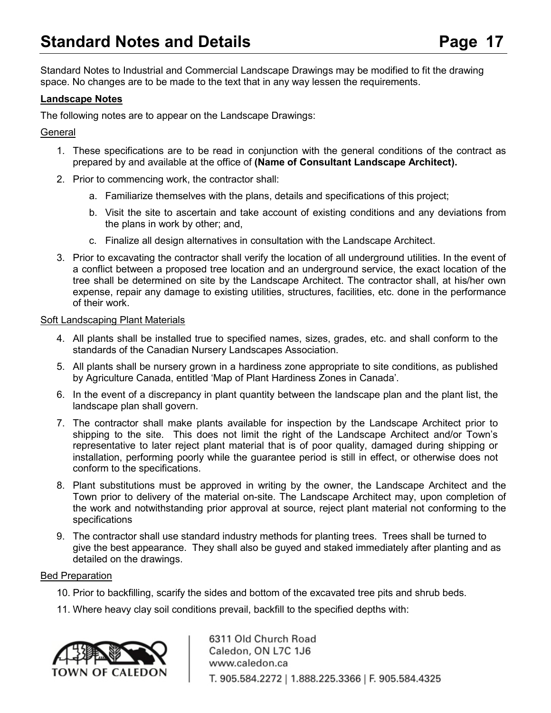Standard Notes to Industrial and Commercial Landscape Drawings may be modified to fit the drawing space. No changes are to be made to the text that in any way lessen the requirements.

#### **Landscape Notes**

The following notes are to appear on the Landscape Drawings:

#### **General**

- 1. These specifications are to be read in conjunction with the general conditions of the contract as prepared by and available at the office of **(Name of Consultant Landscape Architect).**
- 2. Prior to commencing work, the contractor shall:
	- a. Familiarize themselves with the plans, details and specifications of this project;
	- b. Visit the site to ascertain and take account of existing conditions and any deviations from the plans in work by other; and,
	- c. Finalize all design alternatives in consultation with the Landscape Architect.
- 3. Prior to excavating the contractor shall verify the location of all underground utilities. In the event of a conflict between a proposed tree location and an underground service, the exact location of the tree shall be determined on site by the Landscape Architect. The contractor shall, at his/her own expense, repair any damage to existing utilities, structures, facilities, etc. done in the performance of their work.

#### Soft Landscaping Plant Materials

- 4. All plants shall be installed true to specified names, sizes, grades, etc. and shall conform to the standards of the Canadian Nursery Landscapes Association.
- 5. All plants shall be nursery grown in a hardiness zone appropriate to site conditions, as published by Agriculture Canada, entitled 'Map of Plant Hardiness Zones in Canada'.
- 6. In the event of a discrepancy in plant quantity between the landscape plan and the plant list, the landscape plan shall govern.
- 7. The contractor shall make plants available for inspection by the Landscape Architect prior to shipping to the site. This does not limit the right of the Landscape Architect and/or Town's representative to later reject plant material that is of poor quality, damaged during shipping or installation, performing poorly while the guarantee period is still in effect, or otherwise does not conform to the specifications.
- 8. Plant substitutions must be approved in writing by the owner, the Landscape Architect and the Town prior to delivery of the material on-site. The Landscape Architect may, upon completion of the work and notwithstanding prior approval at source, reject plant material not conforming to the specifications
- 9. The contractor shall use standard industry methods for planting trees. Trees shall be turned to give the best appearance. They shall also be guyed and staked immediately after planting and as detailed on the drawings.

#### Bed Preparation

- 10. Prior to backfilling, scarify the sides and bottom of the excavated tree pits and shrub beds.
- 11. Where heavy clay soil conditions prevail, backfill to the specified depths with:

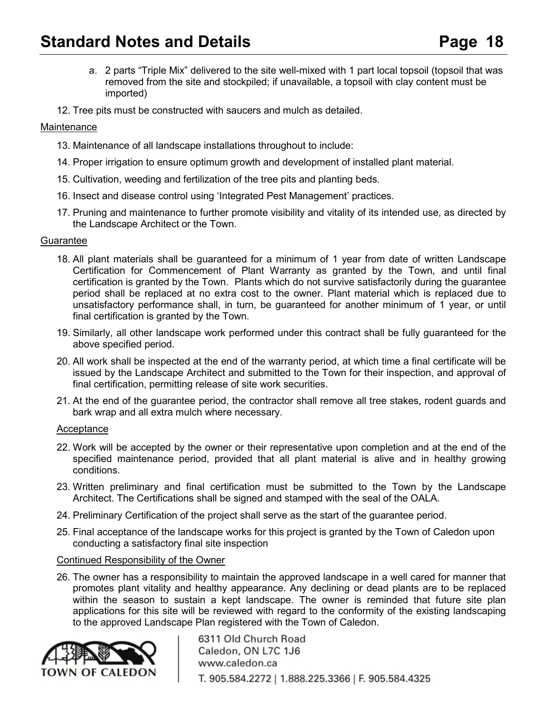- a. 2 parts "Triple Mix" delivered to the site well-mixed with 1 part local topsoil (topsoil that was removed from the site and stockpiled; if unavailable, a topsoil with clay content must be imported)
- 12. Tree pits must be constructed with saucers and mulch as detailed.

#### **Maintenance**

- 13. Maintenance of all landscape installations throughout to include:
- 14. Proper irrigation to ensure optimum growth and development of installed plant material.
- 15. Cultivation, weeding and fertilization of the tree pits and planting beds.
- 16. Insect and disease control using 'Integrated Pest Management' practices.
- 17. Pruning and maintenance to further promote visibility and vitality of its intended use, as directed by the Landscape Architect or the Town.

#### **Guarantee**

- 18. All plant materials shall be guaranteed for a minimum of 1 year from date of written Landscape Certification for Commencement of Plant Warranty as granted by the Town, and until final certification is granted by the Town. Plants which do not survive satisfactorily during the guarantee period shall be replaced at no extra cost to the owner. Plant material which is replaced due to unsatisfactory performance shall, in turn, be guaranteed for another minimum of 1 year, or until final certification is granted by the Town.
- 19. Similarly, all other landscape work performed under this contract shall be fully guaranteed for the above specified period.
- 20. All work shall be inspected at the end of the warranty period, at which time a final certificate will be issued by the Landscape Architect and submitted to the Town for their inspection, and approval of final certification, permitting release of site work securities.
- 21. At the end of the guarantee period, the contractor shall remove all tree stakes, rodent guards and bark wrap and all extra mulch where necessary.

#### Acceptance

- 22. Work will be accepted by the owner or their representative upon completion and at the end of the specified maintenance period, provided that all plant material is alive and in healthy growing conditions.
- 23. Written preliminary and final certification must be submitted to the Town by the Landscape Architect. The Certifications shall be signed and stamped with the seal of the OALA.
- 24. Preliminary Certification of the project shall serve as the start of the guarantee period.
- 25. Final acceptance of the landscape works for this project is granted by the Town of Caledon upon conducting a satisfactory final site inspection

#### Continued Responsibility of the Owner

26. The owner has a responsibility to maintain the approved landscape in a well cared for manner that promotes plant vitality and healthy appearance. Any declining or dead plants are to be replaced within the season to sustain a kept landscape. The owner is reminded that future site plan applications for this site will be reviewed with regard to the conformity of the existing landscaping to the approved Landscape Plan registered with the Town of Caledon.

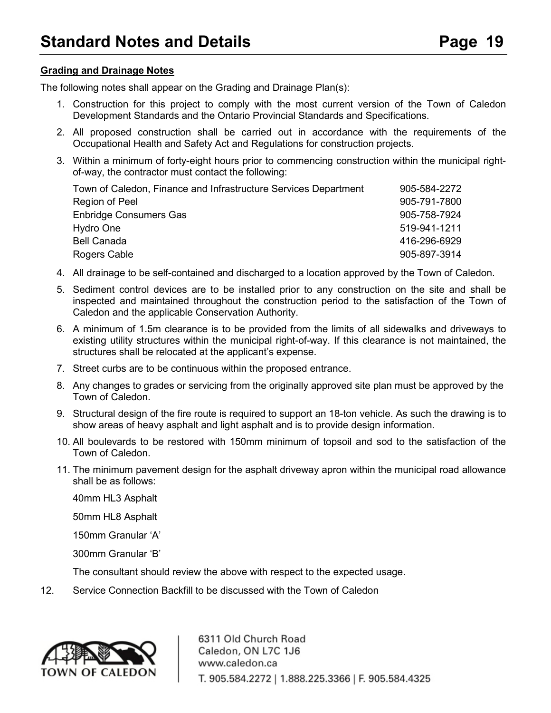#### **Grading and Drainage Notes**

The following notes shall appear on the Grading and Drainage Plan(s):

- 1. Construction for this project to comply with the most current version of the Town of Caledon Development Standards and the Ontario Provincial Standards and Specifications.
- 2. All proposed construction shall be carried out in accordance with the requirements of the Occupational Health and Safety Act and Regulations for construction projects.
- 3. Within a minimum of forty-eight hours prior to commencing construction within the municipal rightof-way, the contractor must contact the following:

| Town of Caledon, Finance and Infrastructure Services Department | 905-584-2272 |
|-----------------------------------------------------------------|--------------|
| Region of Peel                                                  | 905-791-7800 |
| Enbridge Consumers Gas                                          | 905-758-7924 |
| Hydro One                                                       | 519-941-1211 |
| <b>Bell Canada</b>                                              | 416-296-6929 |
| Rogers Cable                                                    | 905-897-3914 |

- 4. All drainage to be self-contained and discharged to a location approved by the Town of Caledon.
- 5. Sediment control devices are to be installed prior to any construction on the site and shall be inspected and maintained throughout the construction period to the satisfaction of the Town of Caledon and the applicable Conservation Authority.
- 6. A minimum of 1.5m clearance is to be provided from the limits of all sidewalks and driveways to existing utility structures within the municipal right-of-way. If this clearance is not maintained, the structures shall be relocated at the applicant's expense.
- 7. Street curbs are to be continuous within the proposed entrance.
- 8. Any changes to grades or servicing from the originally approved site plan must be approved by the Town of Caledon.
- 9. Structural design of the fire route is required to support an 18-ton vehicle. As such the drawing is to show areas of heavy asphalt and light asphalt and is to provide design information.
- 10. All boulevards to be restored with 150mm minimum of topsoil and sod to the satisfaction of the Town of Caledon.
- 11. The minimum pavement design for the asphalt driveway apron within the municipal road allowance shall be as follows:

40mm HL3 Asphalt

50mm HL8 Asphalt

150mm Granular 'A'

300mm Granular 'B'

The consultant should review the above with respect to the expected usage.

12. Service Connection Backfill to be discussed with the Town of Caledon

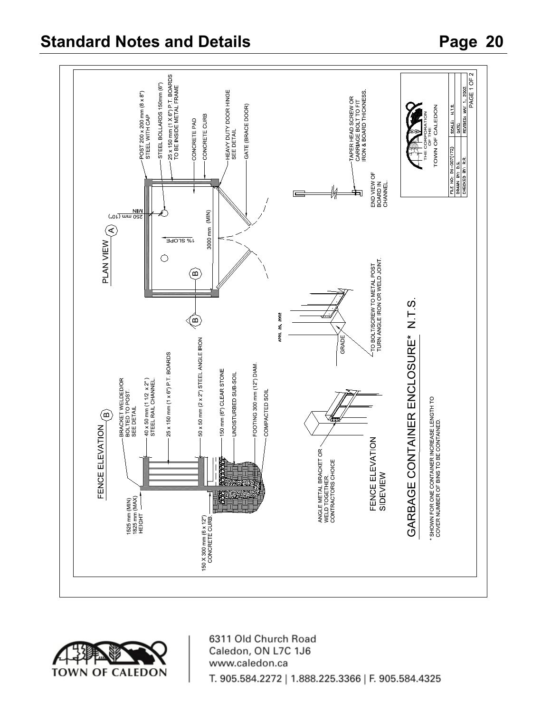

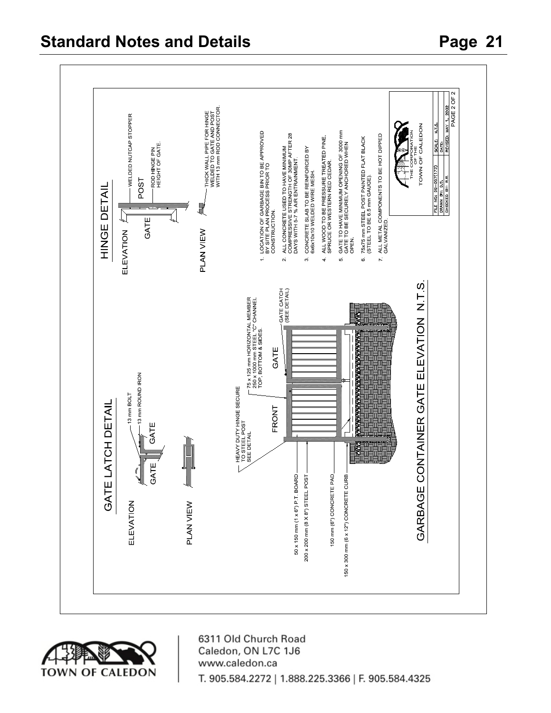### **Standard Notes and Details Page 21**



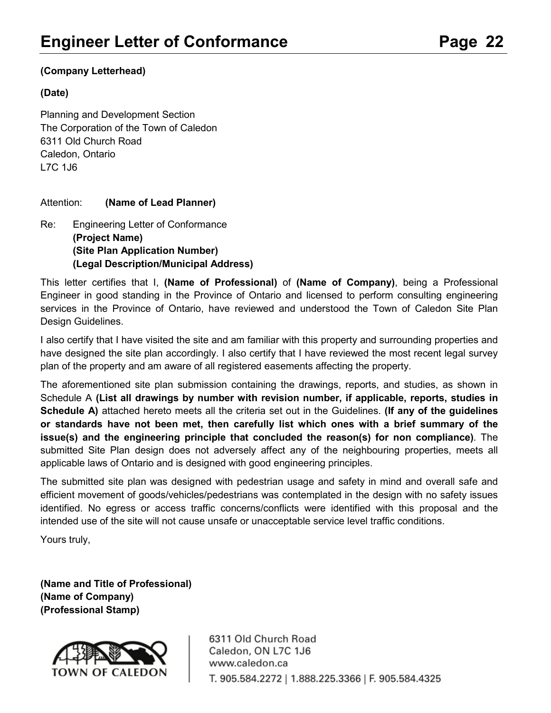#### **(Company Letterhead)**

#### **(Date)**

Planning and Development Section The Corporation of the Town of Caledon 6311 Old Church Road Caledon, Ontario L7C 1J6

#### Attention: **(Name of Lead Planner)**

Re: Engineering Letter of Conformance **(Project Name) (Site Plan Application Number) (Legal Description/Municipal Address)**

This letter certifies that I, **(Name of Professional)** of **(Name of Company)**, being a Professional Engineer in good standing in the Province of Ontario and licensed to perform consulting engineering services in the Province of Ontario, have reviewed and understood the Town of Caledon Site Plan Design Guidelines.

I also certify that I have visited the site and am familiar with this property and surrounding properties and have designed the site plan accordingly. I also certify that I have reviewed the most recent legal survey plan of the property and am aware of all registered easements affecting the property.

The aforementioned site plan submission containing the drawings, reports, and studies, as shown in Schedule A **(List all drawings by number with revision number, if applicable, reports, studies in Schedule A)** attached hereto meets all the criteria set out in the Guidelines. **(If any of the guidelines or standards have not been met, then carefully list which ones with a brief summary of the issue(s) and the engineering principle that concluded the reason(s) for non compliance)***.* The submitted Site Plan design does not adversely affect any of the neighbouring properties, meets all applicable laws of Ontario and is designed with good engineering principles.

The submitted site plan was designed with pedestrian usage and safety in mind and overall safe and efficient movement of goods/vehicles/pedestrians was contemplated in the design with no safety issues identified. No egress or access traffic concerns/conflicts were identified with this proposal and the intended use of the site will not cause unsafe or unacceptable service level traffic conditions.

Yours truly,

**(Name and Title of Professional) (Name of Company) (Professional Stamp)**

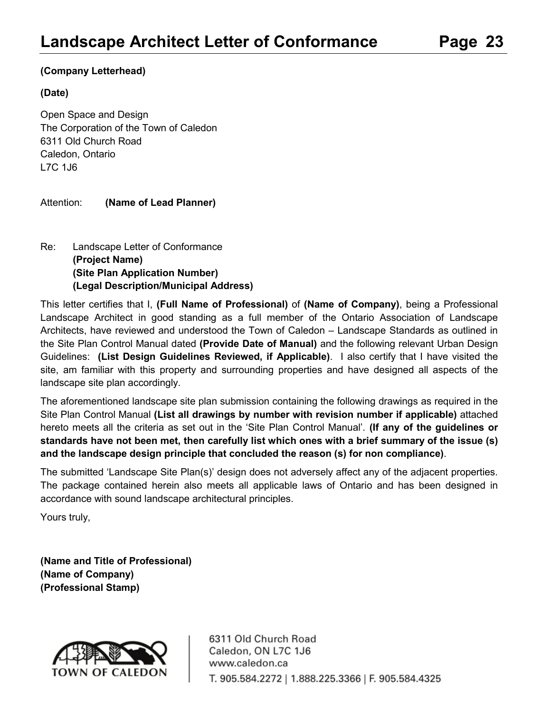#### **(Company Letterhead)**

#### **(Date)**

Open Space and Design The Corporation of the Town of Caledon 6311 Old Church Road Caledon, Ontario L7C 1J6

Attention: **(Name of Lead Planner)**

### Re: Landscape Letter of Conformance **(Project Name) (Site Plan Application Number) (Legal Description/Municipal Address)**

This letter certifies that I, **(Full Name of Professional)** of **(Name of Company)**, being a Professional Landscape Architect in good standing as a full member of the Ontario Association of Landscape Architects, have reviewed and understood the Town of Caledon – Landscape Standards as outlined in the Site Plan Control Manual dated **(Provide Date of Manual)** and the following relevant Urban Design Guidelines: **(List Design Guidelines Reviewed, if Applicable)**. I also certify that I have visited the site, am familiar with this property and surrounding properties and have designed all aspects of the landscape site plan accordingly.

The aforementioned landscape site plan submission containing the following drawings as required in the Site Plan Control Manual **(List all drawings by number with revision number if applicable)** attached hereto meets all the criteria as set out in the 'Site Plan Control Manual'. **(If any of the guidelines or standards have not been met, then carefully list which ones with a brief summary of the issue (s) and the landscape design principle that concluded the reason (s) for non compliance)**.

The submitted 'Landscape Site Plan(s)' design does not adversely affect any of the adjacent properties. The package contained herein also meets all applicable laws of Ontario and has been designed in accordance with sound landscape architectural principles.

Yours truly,

**(Name and Title of Professional) (Name of Company) (Professional Stamp)**

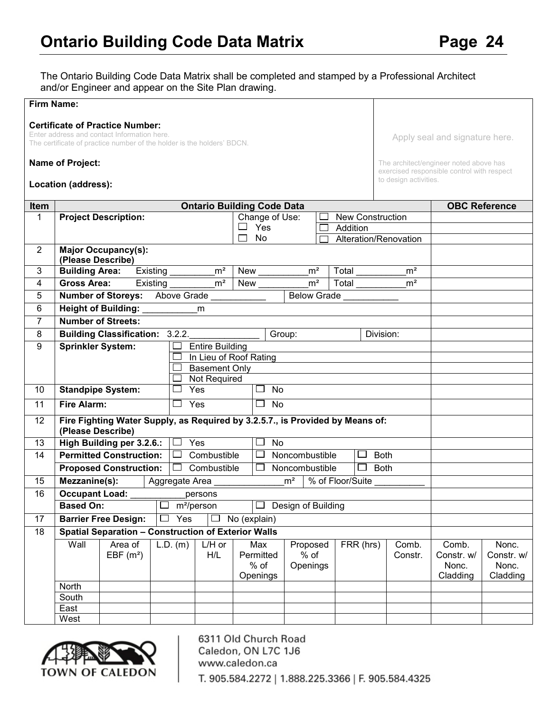The Ontario Building Code Data Matrix shall be completed and stamped by a Professional Architect and/or Engineer and appear on the Site Plan drawing.

| <b>Firm Name:</b> |                                                                    |                                                                                                                                                                 |                         |                        |                                        |                                |                                   |                                                                     |                                          |                                          |
|-------------------|--------------------------------------------------------------------|-----------------------------------------------------------------------------------------------------------------------------------------------------------------|-------------------------|------------------------|----------------------------------------|--------------------------------|-----------------------------------|---------------------------------------------------------------------|------------------------------------------|------------------------------------------|
|                   |                                                                    | <b>Certificate of Practice Number:</b><br>Enter address and contact Information here.<br>The certificate of practice number of the holder is the holders' BDCN. |                         |                        |                                        |                                |                                   |                                                                     | Apply seal and signature here.           |                                          |
|                   | <b>Name of Project:</b>                                            |                                                                                                                                                                 |                         |                        |                                        |                                |                                   | The architect/engineer noted above has                              |                                          |                                          |
|                   | Location (address):                                                |                                                                                                                                                                 |                         |                        |                                        |                                |                                   | exercised responsible control with respect<br>to design activities. |                                          |                                          |
| Item              |                                                                    |                                                                                                                                                                 |                         |                        | <b>Ontario Building Code Data</b>      |                                |                                   |                                                                     |                                          | <b>OBC Reference</b>                     |
| 1                 |                                                                    | <b>Project Description:</b>                                                                                                                                     |                         |                        | Change of Use:                         |                                | <b>New Construction</b>           |                                                                     |                                          |                                          |
|                   |                                                                    |                                                                                                                                                                 |                         |                        | Yes<br>$\Box$                          |                                | Addition<br>Alteration/Renovation |                                                                     |                                          |                                          |
| $\overline{2}$    |                                                                    | <b>Major Occupancy(s):</b>                                                                                                                                      |                         |                        | No                                     |                                |                                   |                                                                     |                                          |                                          |
|                   | (Please Describe)                                                  |                                                                                                                                                                 |                         |                        |                                        |                                |                                   |                                                                     |                                          |                                          |
| 3                 | <b>Building Area:</b>                                              |                                                                                                                                                                 | Existing m <sup>2</sup> |                        | New                                    | m <sup>2</sup>                 | Total                             | m <sup>2</sup>                                                      |                                          |                                          |
| $\overline{4}$    | <b>Gross Area:</b>                                                 |                                                                                                                                                                 | Existing                | m <sup>2</sup>         | $New_\_$                               | m <sup>2</sup>                 | Total                             | m <sup>2</sup>                                                      |                                          |                                          |
| 5                 |                                                                    | <b>Number of Storeys:</b> Above Grade                                                                                                                           |                         |                        |                                        | <b>Below Grade</b>             |                                   |                                                                     |                                          |                                          |
| 6                 |                                                                    | <b>Height of Building:</b>                                                                                                                                      |                         | m                      |                                        |                                |                                   |                                                                     |                                          |                                          |
| $\overline{7}$    |                                                                    | <b>Number of Streets:</b>                                                                                                                                       |                         |                        |                                        |                                |                                   |                                                                     |                                          |                                          |
| 8                 |                                                                    | <b>Building Classification: 3.2.2.</b>                                                                                                                          |                         |                        |                                        | Group:                         |                                   | Division:                                                           |                                          |                                          |
| 9                 | Sprinkler System:                                                  |                                                                                                                                                                 |                         | <b>Entire Building</b> |                                        |                                |                                   |                                                                     |                                          |                                          |
|                   |                                                                    |                                                                                                                                                                 |                         |                        | In Lieu of Roof Rating                 |                                |                                   |                                                                     |                                          |                                          |
|                   |                                                                    |                                                                                                                                                                 |                         | <b>Basement Only</b>   |                                        |                                |                                   |                                                                     |                                          |                                          |
|                   |                                                                    |                                                                                                                                                                 |                         | Not Required           |                                        |                                |                                   |                                                                     |                                          |                                          |
| 10                |                                                                    | <b>Standpipe System:</b>                                                                                                                                        | $\sim$                  | Yes                    | $\Box$<br>No                           |                                |                                   |                                                                     |                                          |                                          |
| 11                | <b>Fire Alarm:</b>                                                 |                                                                                                                                                                 | $\Box$ Yes              |                        | $\Box$ No                              |                                |                                   |                                                                     |                                          |                                          |
| 12                | (Please Describe)                                                  | Fire Fighting Water Supply, as Required by 3.2.5.7., is Provided by Means of:                                                                                   |                         |                        |                                        |                                |                                   |                                                                     |                                          |                                          |
| 13                |                                                                    | High Building per 3.2.6.:                                                                                                                                       | $\Box$ Yes              |                        | No<br>$\sim$                           |                                |                                   |                                                                     |                                          |                                          |
| 14                |                                                                    | <b>Permitted Construction:</b>                                                                                                                                  | $\Box$                  | Combustible            | $\Box$                                 | Noncombustible                 | $\Box$                            | <b>Both</b>                                                         |                                          |                                          |
|                   |                                                                    | <b>Proposed Construction:</b>                                                                                                                                   |                         | $\Box$ Combustible     | $\Box$                                 | Noncombustible                 | $\Box$                            | <b>Both</b>                                                         |                                          |                                          |
| 15                | Mezzanine(s):                                                      |                                                                                                                                                                 | Aggregate Area          |                        |                                        | m <sup>2</sup>                 | % of Floor/Suite                  |                                                                     |                                          |                                          |
| 16                | <b>Occupant Load:</b>                                              |                                                                                                                                                                 |                         | persons                |                                        |                                |                                   |                                                                     |                                          |                                          |
|                   | <b>Based On:</b>                                                   |                                                                                                                                                                 |                         | $m^2$ /person          | ப                                      | Design of Building             |                                   |                                                                     |                                          |                                          |
| 17                | Yes<br><b>Barrier Free Design:</b><br>No (explain)<br>$\mathsf{L}$ |                                                                                                                                                                 |                         |                        |                                        |                                |                                   |                                                                     |                                          |                                          |
| 18                |                                                                    | <b>Spatial Separation - Construction of Exterior Walls</b>                                                                                                      |                         |                        |                                        |                                |                                   |                                                                     |                                          |                                          |
|                   | Wall                                                               | Area of<br>EBF $(m2)$                                                                                                                                           | $L.D.$ (m)              | $L/H$ or<br>H/L        | Max<br>Permitted<br>$%$ of<br>Openings | Proposed<br>$%$ of<br>Openings | FRR (hrs)                         | Comb.<br>Constr.                                                    | Comb.<br>Constr. w/<br>Nonc.<br>Cladding | Nonc.<br>Constr. w/<br>Nonc.<br>Cladding |
|                   | North                                                              |                                                                                                                                                                 |                         |                        |                                        |                                |                                   |                                                                     |                                          |                                          |
|                   | South                                                              |                                                                                                                                                                 |                         |                        |                                        |                                |                                   |                                                                     |                                          |                                          |
|                   | East<br>West                                                       |                                                                                                                                                                 |                         |                        |                                        |                                |                                   |                                                                     |                                          |                                          |
|                   |                                                                    |                                                                                                                                                                 |                         |                        |                                        |                                |                                   |                                                                     |                                          |                                          |

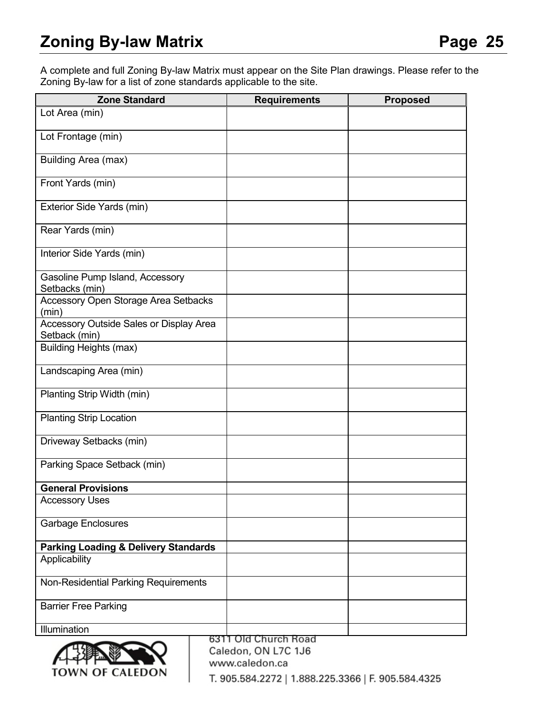A complete and full Zoning By-law Matrix must appear on the Site Plan drawings. Please refer to the Zoning By-law for a list of zone standards applicable to the site.

| <b>Zone Standard</b>                                     | <b>Requirements</b>                         | <b>Proposed</b> |
|----------------------------------------------------------|---------------------------------------------|-----------------|
| Lot Area (min)                                           |                                             |                 |
| Lot Frontage (min)                                       |                                             |                 |
| Building Area (max)                                      |                                             |                 |
| Front Yards (min)                                        |                                             |                 |
| Exterior Side Yards (min)                                |                                             |                 |
| Rear Yards (min)                                         |                                             |                 |
| Interior Side Yards (min)                                |                                             |                 |
| Gasoline Pump Island, Accessory<br>Setbacks (min)        |                                             |                 |
| Accessory Open Storage Area Setbacks<br>(min)            |                                             |                 |
| Accessory Outside Sales or Display Area<br>Setback (min) |                                             |                 |
| <b>Building Heights (max)</b>                            |                                             |                 |
| Landscaping Area (min)                                   |                                             |                 |
| Planting Strip Width (min)                               |                                             |                 |
| <b>Planting Strip Location</b>                           |                                             |                 |
| Driveway Setbacks (min)                                  |                                             |                 |
| Parking Space Setback (min)                              |                                             |                 |
| <b>General Provisions</b>                                |                                             |                 |
| <b>Accessory Uses</b>                                    |                                             |                 |
| <b>Garbage Enclosures</b>                                |                                             |                 |
| <b>Parking Loading &amp; Delivery Standards</b>          |                                             |                 |
| Applicability                                            |                                             |                 |
| Non-Residential Parking Requirements                     |                                             |                 |
| <b>Barrier Free Parking</b>                              |                                             |                 |
| Illumination                                             |                                             |                 |
|                                                          | 6311 Old Church Road<br>Caledon, ON L7C 1J6 |                 |



www.caledon.ca T. 905.584.2272 | 1.888.225.3366 | F. 905.584.4325